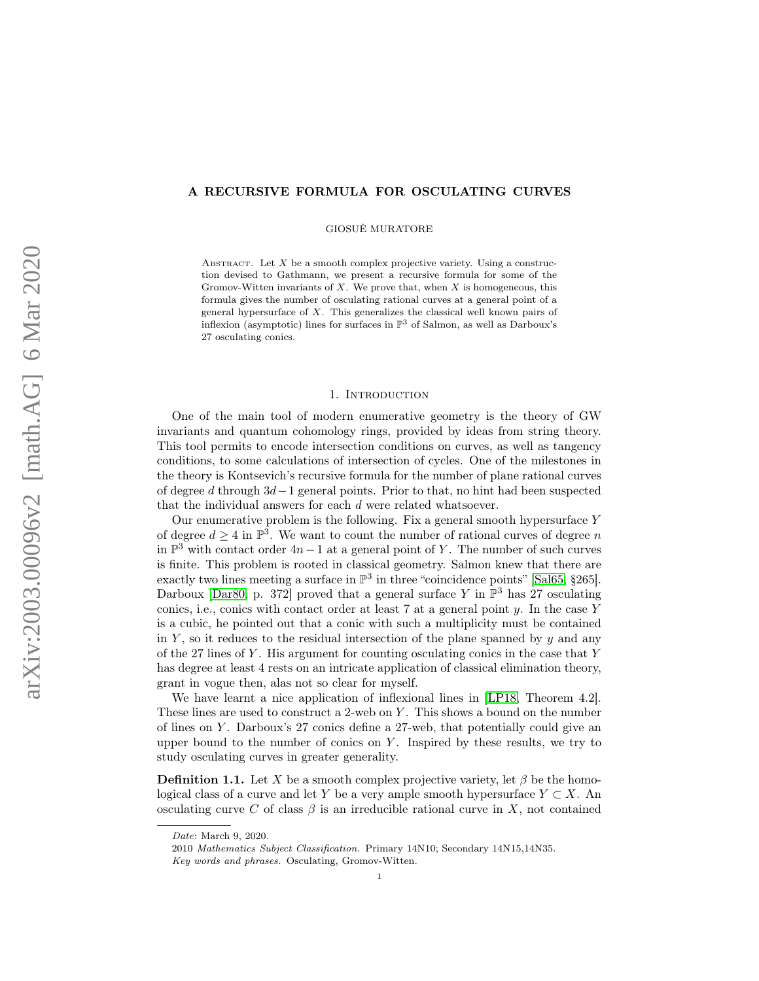# <span id="page-0-0"></span>A RECURSIVE FORMULA FOR OSCULATING CURVES

GIOSUÈ MURATORE

ABSTRACT. Let  $X$  be a smooth complex projective variety. Using a construction devised to Gathmann, we present a recursive formula for some of the Gromov-Witten invariants of  $X$ . We prove that, when  $X$  is homogeneous, this formula gives the number of osculating rational curves at a general point of a general hypersurface of X. This generalizes the classical well known pairs of inflexion (asymptotic) lines for surfaces in  $\mathbb{P}^3$  of Salmon, as well as Darboux's 27 osculating conics.

### 1. Introduction

One of the main tool of modern enumerative geometry is the theory of GW invariants and quantum cohomology rings, provided by ideas from string theory. This tool permits to encode intersection conditions on curves, as well as tangency conditions, to some calculations of intersection of cycles. One of the milestones in the theory is Kontsevich's recursive formula for the number of plane rational curves of degree d through 3d−1 general points. Prior to that, no hint had been suspected that the individual answers for each d were related whatsoever.

Our enumerative problem is the following. Fix a general smooth hypersurface  $Y$ of degree  $d \geq 4$  in  $\mathbb{P}^3$ . We want to count the number of rational curves of degree n in  $\mathbb{P}^3$  with contact order  $4n-1$  at a general point of Y. The number of such curves is finite. This problem is rooted in classical geometry. Salmon knew that there are exactly two lines meeting a surface in  $\mathbb{P}^3$  in three "coincidence points" [\[Sal65,](#page-14-0) §265]. Darboux [\[Dar80,](#page-13-0) p. 372] proved that a general surface Y in  $\mathbb{P}^3$  has 27 osculating conics, i.e., conics with contact order at least  $7$  at a general point  $y$ . In the case  $Y$ is a cubic, he pointed out that a conic with such a multiplicity must be contained in  $Y$ , so it reduces to the residual intersection of the plane spanned by  $y$  and any of the 27 lines of Y. His argument for counting osculating conics in the case that  $Y$ has degree at least 4 rests on an intricate application of classical elimination theory, grant in vogue then, alas not so clear for myself.

We have learnt a nice application of inflexional lines in [\[LP18,](#page-14-1) Theorem 4.2]. These lines are used to construct a 2-web on Y. This shows a bound on the number of lines on  $Y$ . Darboux's 27 conics define a 27-web, that potentially could give an upper bound to the number of conics on  $Y$ . Inspired by these results, we try to study osculating curves in greater generality.

**Definition 1.1.** Let X be a smooth complex projective variety, let  $\beta$  be the homological class of a curve and let Y be a very ample smooth hypersurface  $Y \subset X$ . An osculating curve C of class  $\beta$  is an irreducible rational curve in X, not contained

Date: March 9, 2020.

<sup>2010</sup> Mathematics Subject Classification. Primary 14N10; Secondary 14N15,14N35. Key words and phrases. Osculating, Gromov-Witten.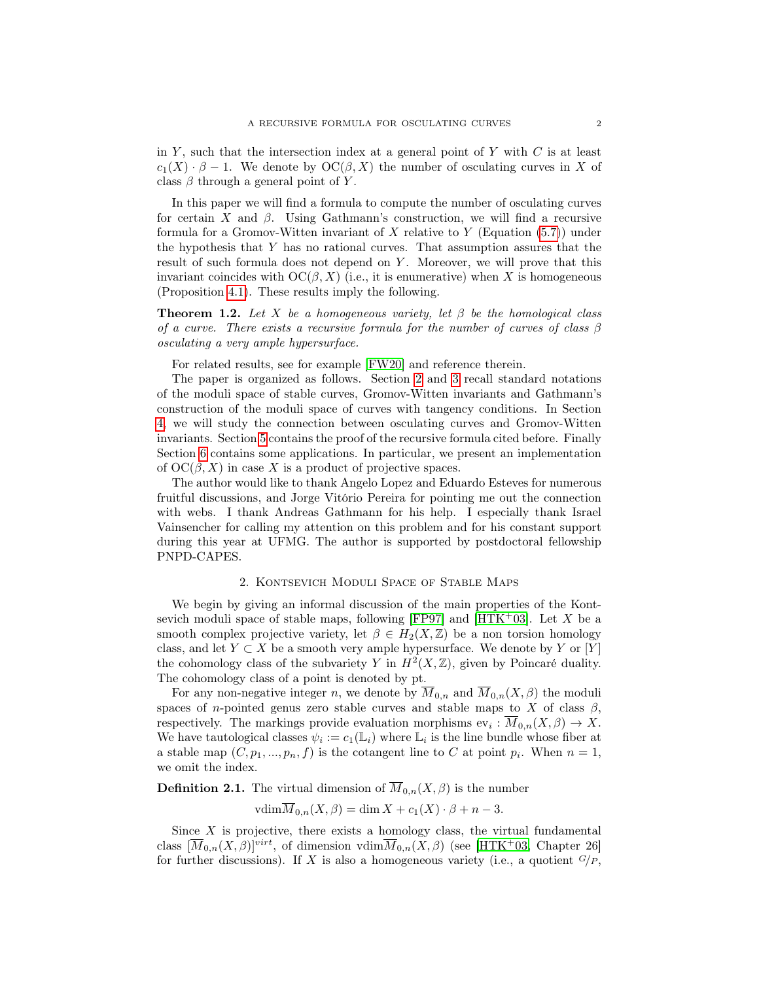<span id="page-1-1"></span>in Y, such that the intersection index at a general point of Y with  $C$  is at least  $c_1(X) \cdot \beta - 1$ . We denote by  $\mathrm{OC}(\beta, X)$  the number of osculating curves in X of class  $\beta$  through a general point of Y.

In this paper we will find a formula to compute the number of osculating curves for certain X and  $\beta$ . Using Gathmann's construction, we will find a recursive formula for a Gromov-Witten invariant of X relative to Y (Equation  $(5.7)$ ) under the hypothesis that Y has no rational curves. That assumption assures that the result of such formula does not depend on Y. Moreover, we will prove that this invariant coincides with  $OC(\beta, X)$  (i.e., it is enumerative) when X is homogeneous (Proposition [4.1\)](#page-4-0). These results imply the following.

**Theorem 1.2.** Let X be a homogeneous variety, let  $\beta$  be the homological class of a curve. There exists a recursive formula for the number of curves of class  $\beta$ osculating a very ample hypersurface.

For related results, see for example [\[FW20\]](#page-13-1) and reference therein.

The paper is organized as follows. Section [2](#page-1-0) and [3](#page-2-0) recall standard notations of the moduli space of stable curves, Gromov-Witten invariants and Gathmann's construction of the moduli space of curves with tangency conditions. In Section [4,](#page-4-1) we will study the connection between osculating curves and Gromov-Witten invariants. Section [5](#page-6-0) contains the proof of the recursive formula cited before. Finally Section [6](#page-10-1) contains some applications. In particular, we present an implementation of  $OC(\beta, X)$  in case X is a product of projective spaces.

The author would like to thank Angelo Lopez and Eduardo Esteves for numerous fruitful discussions, and Jorge Vitório Pereira for pointing me out the connection with webs. I thank Andreas Gathmann for his help. I especially thank Israel Vainsencher for calling my attention on this problem and for his constant support during this year at UFMG. The author is supported by postdoctoral fellowship PNPD-CAPES.

### 2. Kontsevich Moduli Space of Stable Maps

<span id="page-1-0"></span>We begin by giving an informal discussion of the main properties of the Kont-sevich moduli space of stable maps, following [\[FP97\]](#page-13-2) and [\[HTK](#page-13-3)+03]. Let  $X$  be a smooth complex projective variety, let  $\beta \in H_2(X,\mathbb{Z})$  be a non torsion homology class, and let  $Y \subset X$  be a smooth very ample hypersurface. We denote by Y or [Y] the cohomology class of the subvariety Y in  $H^2(X,\mathbb{Z})$ , given by Poincaré duality. The cohomology class of a point is denoted by pt.

For any non-negative integer n, we denote by  $\overline{M}_{0,n}$  and  $\overline{M}_{0,n}(X,\beta)$  the moduli spaces of *n*-pointed genus zero stable curves and stable maps to X of class  $\beta$ , respectively. The markings provide evaluation morphisms  $ev_i : \overline{M}_{0,n}(X,\beta) \to X$ . We have tautological classes  $\psi_i := c_1(\mathbb{L}_i)$  where  $\mathbb{L}_i$  is the line bundle whose fiber at a stable map  $(C, p_1, ..., p_n, f)$  is the cotangent line to C at point  $p_i$ . When  $n = 1$ , we omit the index.

**Definition 2.1.** The virtual dimension of  $\overline{M}_{0,n}(X,\beta)$  is the number

 $\operatorname{vdim}\overline{M}_{0,n}(X,\beta)=\dim X+c_1(X)\cdot\beta+n-3.$ 

Since  $X$  is projective, there exists a homology class, the virtual fundamental class  $[\overline{M}_{0,n}(X,\beta)]^{virt}$ , of dimension  $\overline{M}_{0,n}(X,\beta)$  (see [\[HTK](#page-13-3)<sup>+</sup>03, Chapter 26] for further discussions). If X is also a homogeneous variety (i.e., a quotient  $G/P$ ,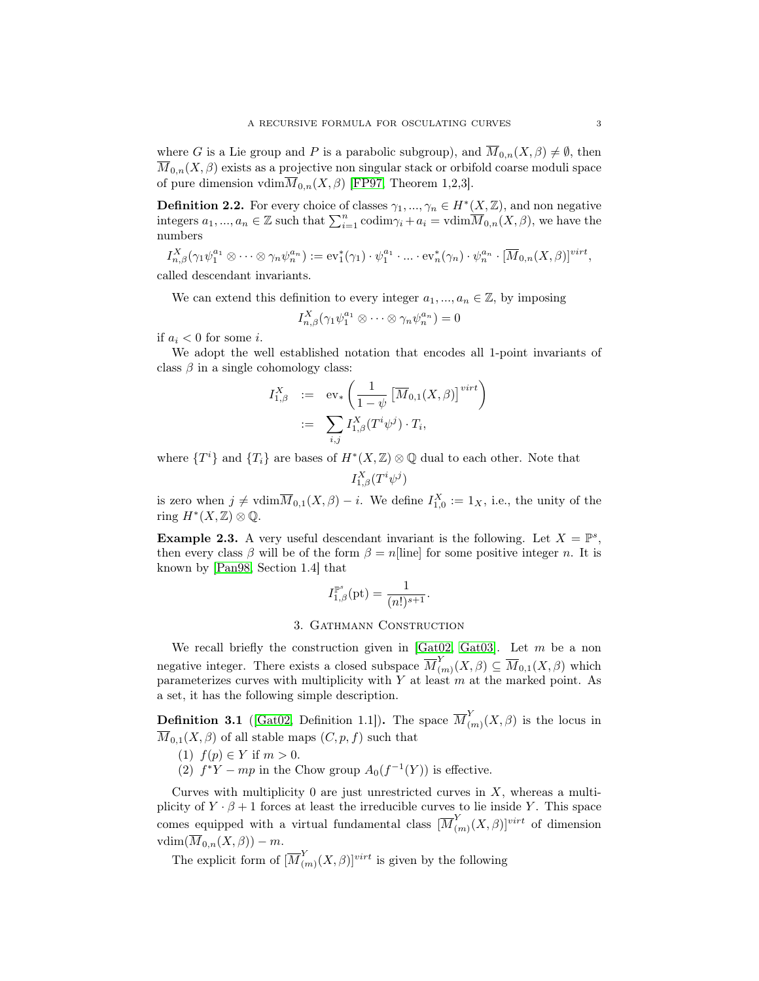<span id="page-2-4"></span>where G is a Lie group and P is a parabolic subgroup), and  $\overline{M}_{0,n}(X,\beta) \neq \emptyset$ , then  $\overline{M}_{0,n}(X,\beta)$  exists as a projective non singular stack or orbifold coarse moduli space of pure dimension vdim $\overline{M}_{0,n}(X,\beta)$  [\[FP97,](#page-13-2) Theorem 1,2,3].

<span id="page-2-1"></span>**Definition 2.2.** For every choice of classes  $\gamma_1, ..., \gamma_n \in H^*(X, \mathbb{Z})$ , and non negative integers  $a_1, ..., a_n \in \mathbb{Z}$  such that  $\sum_{i=1}^n \text{codim}\gamma_i + a_i = \text{vdim}\overline{M}_{0,n}(X,\beta)$ , we have the numbers

$$
I_{n,\beta}^X(\gamma_1\psi_1^{a_1}\otimes\cdots\otimes\gamma_n\psi_n^{a_n}) := \mathrm{ev}_1^*(\gamma_1)\cdot\psi_1^{a_1}\cdot\ldots\cdot\mathrm{ev}_n^*(\gamma_n)\cdot\psi_n^{a_n}\cdot[\overline{M}_{0,n}(X,\beta)]^{virt},
$$

called descendant invariants.

We can extend this definition to every integer  $a_1, ..., a_n \in \mathbb{Z}$ , by imposing

$$
I_{n,\beta}^X(\gamma_1\psi_1^{a_1}\otimes\cdots\otimes\gamma_n\psi_n^{a_n})=0
$$

if  $a_i < 0$  for some *i*.

We adopt the well established notation that encodes all 1-point invariants of class  $\beta$  in a single cohomology class:

$$
I_{1,\beta}^X := \operatorname{ev}_* \left( \frac{1}{1-\psi} \left[ \overline{M}_{0,1}(X,\beta) \right]^{virt} \right)
$$
  

$$
:= \sum_{i,j} I_{1,\beta}^X(T^i \psi^j) \cdot T_i,
$$

where  $\{T^i\}$  and  $\{T_i\}$  are bases of  $H^*(X,\mathbb{Z})\otimes\mathbb{Q}$  dual to each other. Note that  $I^X_{1,\beta}(T^i\psi^j)$ 

is zero when  $j \neq \text{vdim}\overline{M}_{0,1}(X,\beta) - i$ . We define  $I_{1,0}^X := 1_X$ , i.e., the unity of the ring  $H^*(X,\mathbb{Z})\otimes\mathbb{Q}$ .

<span id="page-2-3"></span>**Example 2.3.** A very useful descendant invariant is the following. Let  $X = \mathbb{P}^s$ , then every class  $\beta$  will be of the form  $\beta = n$ [line] for some positive integer n. It is known by [\[Pan98,](#page-14-2) Section 1.4] that

$$
I^{\mathbb{P}^s}_{1,\beta}(\textup{pt})=\frac{1}{(n!)^{s+1}}.
$$

## 3. Gathmann Construction

<span id="page-2-0"></span>We recall briefly the construction given in [\[Gat02,](#page-13-4) [Gat03\]](#page-13-5). Let  $m$  be a non negative integer. There exists a closed subspace  $\overline{M}_{0}^{Y}$  $\overline{M}_{(m)}(X,\beta) \subseteq \overline{M}_{0,1}(X,\beta)$  which parameterizes curves with multiplicity with  $Y$  at least  $m$  at the marked point. As a set, it has the following simple description.

<span id="page-2-2"></span>**Definition 3.1** ([\[Gat02,](#page-13-4) Definition 1.1]). The space  $\overline{M}_{0}^{Y}$  $\binom{1}{m}(X,\beta)$  is the locus in  $\overline{M}_{0,1}(X,\beta)$  of all stable maps  $(C, p, f)$  such that

- (1)  $f(p) \in Y$  if  $m > 0$ .
- (2)  $f^*Y mp$  in the Chow group  $A_0(f^{-1}(Y))$  is effective.

Curves with multiplicity 0 are just unrestricted curves in  $X$ , whereas a multiplicity of  $Y \cdot \beta + 1$  forces at least the irreducible curves to lie inside Y. This space comes equipped with a virtual fundamental class  $[\overline{M}]_q^Y$  $\binom{n}{m}(X,\beta)]^{virt}$  of dimension  $\operatorname{vdim}(\overline{M}_{0,n}(X,\beta)) - m.$ 

The explicit form of  $\overline{M}_{0}^{Y}$  $\binom{n}{(m)}(X,\beta)]^{virt}$  is given by the following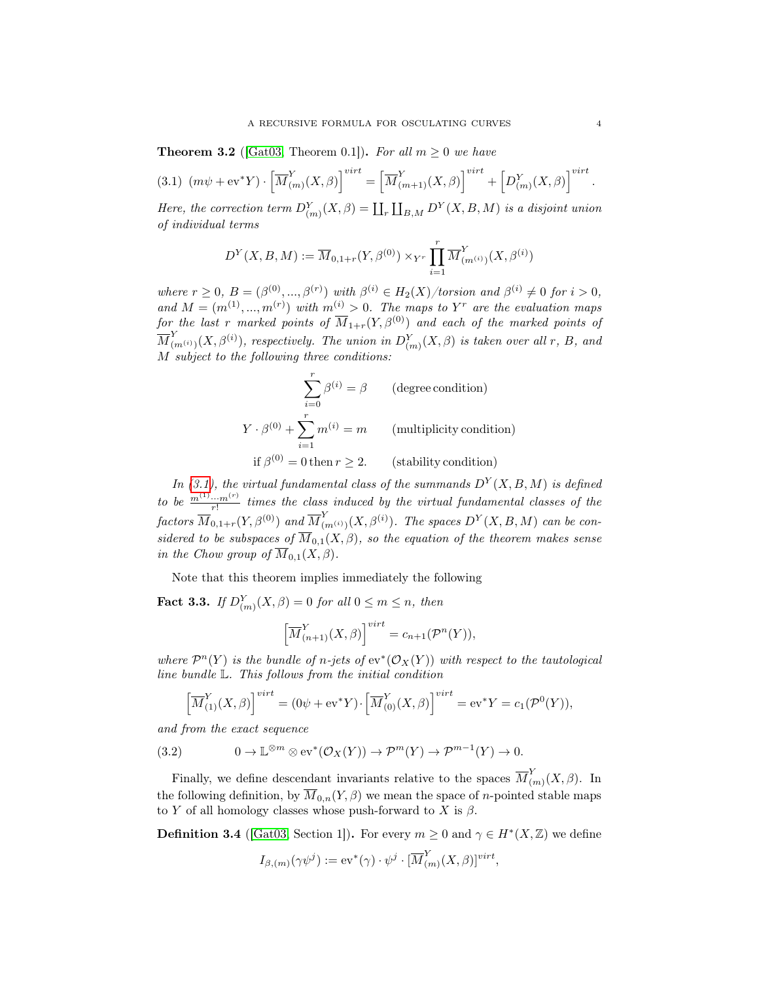<span id="page-3-5"></span><span id="page-3-2"></span>**Theorem 3.2** ([\[Gat03,](#page-13-5) Theorem 0.1]). For all  $m \geq 0$  we have

<span id="page-3-0"></span>
$$
(3.1) \ \left( m\psi + \mathrm{ev}^* Y \right) \cdot \left[ \overline{M}_{(m)}^Y(X,\beta) \right]^{virt} = \left[ \overline{M}_{(m+1)}^Y(X,\beta) \right]^{virt} + \left[ D_{(m)}^Y(X,\beta) \right]^{virt}.
$$

Here, the correction term  $D_{(m)}^Y(X, \beta) = \coprod_r \coprod_{B,M} D^Y(X, B, M)$  is a disjoint union of individual terms

$$
D^{Y}(X, B, M) := \overline{M}_{0,1+r}(Y, \beta^{(0)}) \times_{Y^r} \prod_{i=1}^r \overline{M}_{(m^{(i)})}^{Y}(X, \beta^{(i)})
$$

where  $r \geq 0$ ,  $B = (\beta^{(0)}, ..., \beta^{(r)})$  with  $\beta^{(i)} \in H_2(X)/torsion$  and  $\beta^{(i)} \neq 0$  for  $i > 0$ , and  $M = (m^{(1)}, ..., m^{(r)})$  with  $m^{(i)} > 0$ . The maps to Y<sup>r</sup> are the evaluation maps for the last r marked points of  $\overline{M}_{1+r}(Y,\beta^{(0)})$  and each of the marked points of  $\overline{M}_G^Y$  $\lim_{(m^{(i)})} (X, \beta^{(i)})$ , respectively. The union in  $D_{(m)}^Y (X, \beta)$  is taken over all r, B, and M subject to the following three conditions:

$$
\sum_{i=0}^{r} \beta^{(i)} = \beta
$$
 (degree condition)  
\n
$$
Y \cdot \beta^{(0)} + \sum_{i=1}^{r} m^{(i)} = m
$$
 (multiplicity condition)  
\nif  $\beta^{(0)} = 0$  then  $r \ge 2$ . (stability condition)

In [\(3.1\)](#page-3-0), the virtual fundamental class of the summands  $D^{Y}(X, B, M)$  is defined to be  $\frac{m^{(1)} \cdots m^{(r)}}{r!}$  times the class induced by the virtual fundamental classes of the  $factors \ \overline{M}_{0,1+r}(Y,\beta^{(0)})$  and  $\overline{M}_{0}^{Y}$  $\sum_{(m^{(i)})}^{Y}(X,\beta^{(i)})$ . The spaces  $D^{Y}(X,B,M)$  can be considered to be subspaces of  $\overline{M}_{0,1}(X,\beta)$ , so the equation of the theorem makes sense in the Chow group of  $\overline{M}_{0,1}(X,\beta)$ .

Note that this theorem implies immediately the following

<span id="page-3-3"></span>**Fact 3.3.** If  $D_{(m)}^Y(X,\beta) = 0$  for all  $0 \le m \le n$ , then

$$
\left[\overline{M}_{(n+1)}^Y(X,\beta)\right]^{virt} = c_{n+1}(\mathcal{P}^n(Y)),
$$

where  $\mathcal{P}^n(Y)$  is the bundle of n-jets of  $ev^*(\mathcal{O}_X(Y))$  with respect to the tautological line bundle L. This follows from the initial condition

<span id="page-3-4"></span>
$$
\left[\overline{M}_{(1)}^Y(X,\beta)\right]^{virt} = (0\psi + \mathrm{ev}^*Y) \cdot \left[\overline{M}_{(0)}^Y(X,\beta)\right]^{virt} = \mathrm{ev}^*Y = c_1(\mathcal{P}^0(Y)),
$$

and from the exact sequence

(3.2) 
$$
0 \to \mathbb{L}^{\otimes m} \otimes \text{ev}^*(\mathcal{O}_X(Y)) \to \mathcal{P}^m(Y) \to \mathcal{P}^{m-1}(Y) \to 0.
$$

Finally, we define descendant invariants relative to the spaces  $\overline{M}_{0}^{Y}$  $_{(m)}^{\prime}(X,\beta)$ . In the following definition, by  $\overline{M}_{0,n}(Y,\beta)$  we mean the space of *n*-pointed stable maps to Y of all homology classes whose push-forward to X is  $\beta$ .

<span id="page-3-1"></span>**Definition 3.4** ([\[Gat03,](#page-13-5) Section 1]). For every  $m \geq 0$  and  $\gamma \in H^*(X, \mathbb{Z})$  we define

$$
I_{\beta,(m)}(\gamma\psi^j):=\text{ev}^*(\gamma)\cdot\psi^j\cdot[\overline{M}_{(m)}^Y(X,\beta)]^{virt},
$$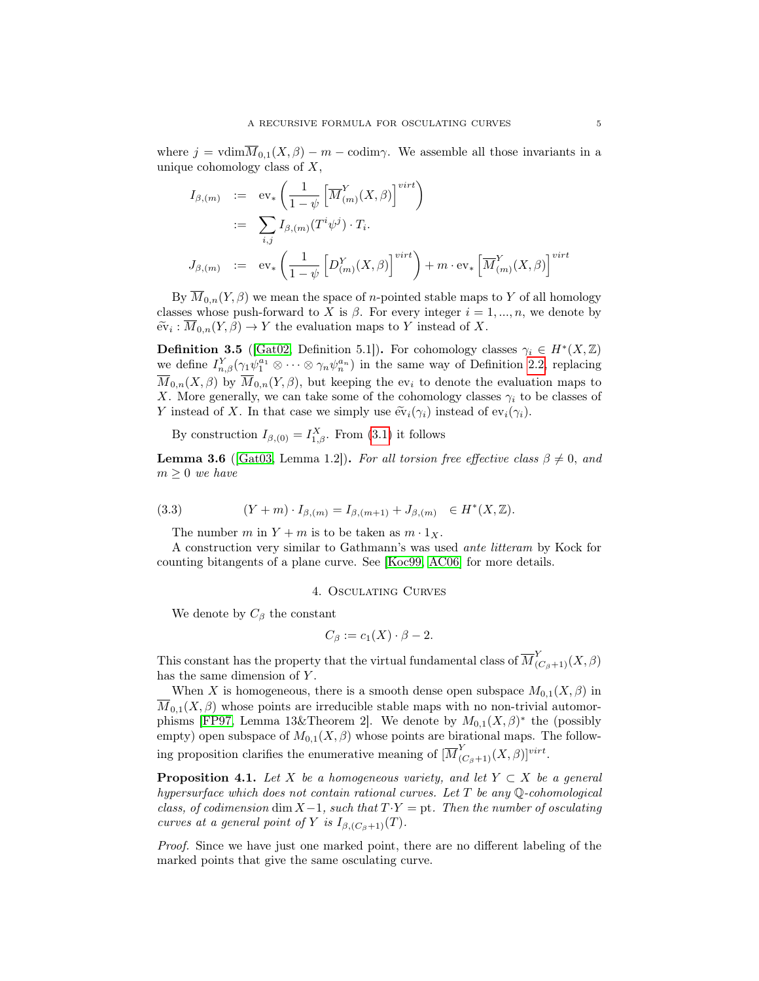<span id="page-4-4"></span>where  $j = \text{vdim}\overline{M}_{0,1}(X,\beta) - m - \text{codim}\gamma$ . We assemble all those invariants in a unique cohomology class of  $X$ ,

$$
I_{\beta,(m)} := \text{ev}_* \left( \frac{1}{1-\psi} \left[ \overline{M}_{(m)}^Y(X,\beta) \right]^{virt} \right)
$$
  

$$
:= \sum_{i,j} I_{\beta,(m)}(T^i \psi^j) \cdot T_i.
$$
  

$$
J_{\beta,(m)} := \text{ev}_* \left( \frac{1}{1-\psi} \left[ D_{(m)}^Y(X,\beta) \right]^{virt} \right) + m \cdot \text{ev}_* \left[ \overline{M}_{(m)}^Y(X,\beta) \right]^{virt}
$$

By  $\overline{M}_{0,n}(Y,\beta)$  we mean the space of *n*-pointed stable maps to Y of all homology classes whose push-forward to X is  $\beta$ . For every integer  $i = 1, ..., n$ , we denote by  $\widetilde{\text{ev}}_i : \overline{M}_{0,n}(Y,\beta) \to Y$  the evaluation maps to Y instead of X.

<span id="page-4-3"></span>**Definition 3.5** ([\[Gat02,](#page-13-4) Definition 5.1]). For cohomology classes  $\gamma_i \in H^*(X,\mathbb{Z})$ we define  $I_{n,\beta}^Y(\gamma_1\psi_1^{a_1}\otimes\cdots\otimes\gamma_n\psi_n^{a_n})$  in the same way of Definition [2.2,](#page-2-1) replacing  $\overline{M}_{0,n}(X,\beta)$  by  $\overline{M}_{0,n}(Y,\beta)$ , but keeping the ev<sub>i</sub> to denote the evaluation maps to X. More generally, we can take some of the cohomology classes  $\gamma_i$  to be classes of Y instead of X. In that case we simply use  $\widetilde{\text{ev}}_i(\gamma_i)$  instead of  $\text{ev}_i(\gamma_i)$ .

By construction  $I_{\beta,(0)} = I_{1,\beta}^X$ . From [\(3.1\)](#page-3-0) it follows

**Lemma 3.6** ([\[Gat03,](#page-13-5) Lemma 1.2]). For all torsion free effective class  $\beta \neq 0$ , and  $m \geq 0$  we have

(3.3) 
$$
(Y + m) \cdot I_{\beta,(m)} = I_{\beta,(m+1)} + J_{\beta,(m)} \in H^*(X, \mathbb{Z}).
$$

<span id="page-4-2"></span>The number m in  $Y + m$  is to be taken as  $m \cdot 1_X$ .

A construction very similar to Gathmann's was used ante litteram by Kock for counting bitangents of a plane curve. See [\[Koc99,](#page-14-3) [AC06\]](#page-13-6) for more details.

### 4. Osculating Curves

<span id="page-4-1"></span>We denote by  $C_{\beta}$  the constant

$$
C_{\beta} := c_1(X) \cdot \beta - 2.
$$

This constant has the property that the virtual fundamental class of  $\overline{M}^Y_{(C_\beta+1)}(X,\beta)$ has the same dimension of Y.

When X is homogeneous, there is a smooth dense open subspace  $M_{0,1}(X,\beta)$  in  $\overline{M}_{0,1}(X,\beta)$  whose points are irreducible stable maps with no non-trivial automor-phisms [\[FP97,](#page-13-2) Lemma 13&Theorem 2]. We denote by  $M_{0,1}(X,\beta)^*$  the (possibly empty) open subspace of  $M_{0,1}(X,\beta)$  whose points are birational maps. The following proposition clarifies the enumerative meaning of  $[\overline{M}_{(C_\beta+1)}^Y(X,\beta)]^{virt}$ .

<span id="page-4-0"></span>**Proposition 4.1.** Let X be a homogeneous variety, and let  $Y \subset X$  be a general hypersurface which does not contain rational curves. Let  $T$  be any Q-cohomological class, of codimension dim  $X-1$ , such that  $T Y = pt$ . Then the number of osculating curves at a general point of Y is  $I_{\beta,(C_{\beta}+1)}(T)$ .

Proof. Since we have just one marked point, there are no different labeling of the marked points that give the same osculating curve.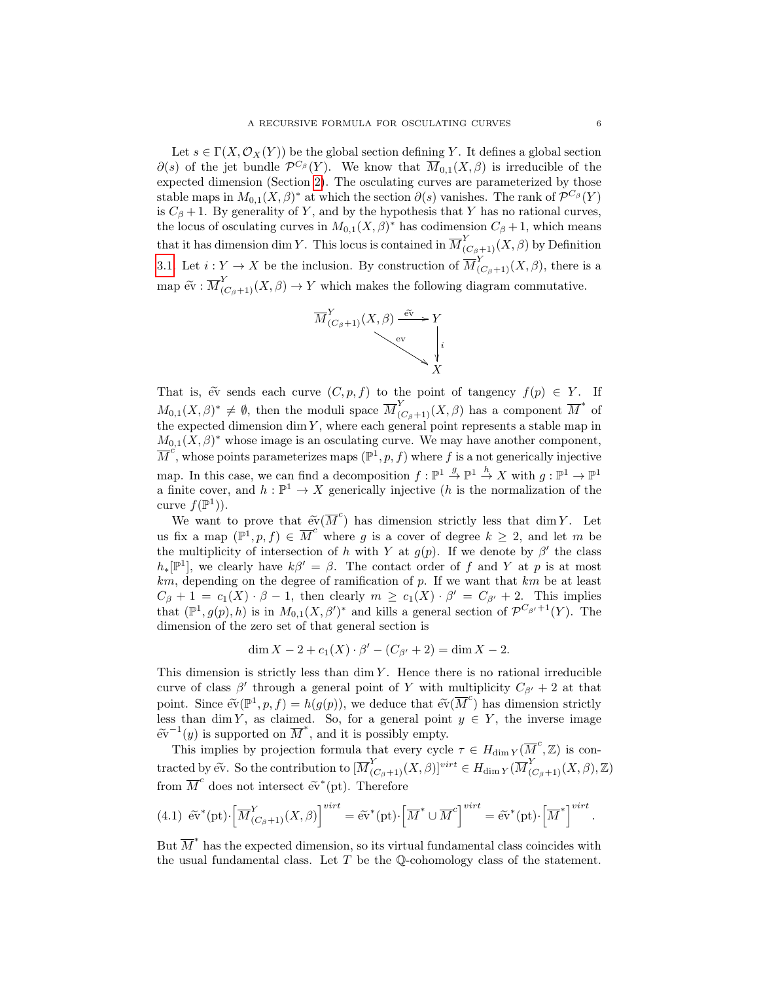Let  $s \in \Gamma(X, \mathcal{O}_X(Y))$  be the global section defining Y. It defines a global section  $\partial(s)$  of the jet bundle  $\mathcal{P}^{C_{\beta}}(Y)$ . We know that  $\overline{M}_{0,1}(X,\beta)$  is irreducible of the expected dimension (Section [2\)](#page-1-0). The osculating curves are parameterized by those stable maps in  $M_{0,1}(X,\beta)^*$  at which the section  $\partial(s)$  vanishes. The rank of  $\mathcal{P}^{C_{\beta}}(Y)$ is  $C_\beta + 1$ . By generality of Y, and by the hypothesis that Y has no rational curves, the locus of osculating curves in  $M_{0,1}(X,\beta)^*$  has codimension  $C_\beta+1$ , which means that it has dimension dim Y. This locus is contained in  $\overline{M}_{(C_\beta+1)}^Y(X,\beta)$  by Definition [3.1.](#page-2-2) Let  $i: Y \to X$  be the inclusion. By construction of  $\overline{M}_{(C_\beta+1)}^Y(X,\beta)$ , there is a map  $\widetilde{\text{ev}} : \overline{M}_{(C_\beta+1)}^Y(X, \beta) \to Y$  which makes the following diagram commutative.



That is,  $\tilde{ev}$  sends each curve  $(C, p, f)$  to the point of tangency  $f(p) \in Y$ . If  $M_{0,1}(X,\beta)^* \neq \emptyset$ , then the moduli space  $\overline{M}_{(C_\beta+1)}^Y(X,\beta)$  has a component  $\overline{M}^*$  of the expected dimension  $\dim Y$ , where each general point represents a stable map in  $M_{0,1}(X,\beta)^*$  whose image is an osculating curve. We may have another component,  $\overline{M}^c$ , whose points parameterizes maps  $(\mathbb{P}^1, p, f)$  where f is a not generically injective map. In this case, we can find a decomposition  $f: \mathbb{P}^1 \stackrel{g}{\to} \mathbb{P}^1 \stackrel{h}{\to} X$  with  $g: \mathbb{P}^1 \to \mathbb{P}^1$ a finite cover, and  $h: \mathbb{P}^1 \to X$  generically injective (h is the normalization of the curve  $f(\mathbb{P}^1)$ .

We want to prove that  $\widetilde{ev}(\overline{M}^c)$  has dimension strictly less that dim Y. Let us fix a map  $(\mathbb{P}^1, p, f) \in \overline{M}^c$  where g is a cover of degree  $k \geq 2$ , and let m be the multiplicity of intersection of h with Y at  $g(p)$ . If we denote by  $\beta'$  the class  $h_*[\mathbb{P}^1]$ , we clearly have  $k\beta' = \beta$ . The contact order of f and Y at p is at most  $km$ , depending on the degree of ramification of p. If we want that  $km$  be at least  $C_{\beta} + 1 = c_1(X) \cdot \beta - 1$ , then clearly  $m \geq c_1(X) \cdot \beta' = C_{\beta'} + 2$ . This implies that  $(\mathbb{P}^1, g(p), h)$  is in  $M_{0,1}(X, \beta')^*$  and kills a general section of  $\mathcal{P}^{C_{\beta'}+1}(Y)$ . The dimension of the zero set of that general section is

$$
\dim X - 2 + c_1(X) \cdot \beta' - (C_{\beta'} + 2) = \dim X - 2.
$$

This dimension is strictly less than  $\dim Y$ . Hence there is no rational irreducible curve of class  $\beta'$  through a general point of Y with multiplicity  $C_{\beta'} + 2$  at that point. Since  $\widetilde{\text{ev}}(\mathbb{P}^1, p, f) = h(g(p))$ , we deduce that  $\widetilde{\text{ev}}(\overline{M}^c)$  has dimension strictly less than dim Y, as claimed. So, for a general point  $y \in Y$ , the inverse image  $e^{\tilde{v}^{-1}(y)}$  is supported on  $\overline{M}^*$ , and it is possibly empty.

This implies by projection formula that every cycle  $\tau \in H_{\dim Y}(\overline{M}^c, \mathbb{Z})$  is contracted by  $\widetilde{ev}$ . So the contribution to  $[\overline{M}_{(C_\beta+1)}^Y(X,\beta)]^{virt} \in H_{\dim Y}(\overline{M}_{(C_\beta+1)}^Y(X,\beta),\mathbb{Z})$ from  $\overline{M}^c$  does not intersect  $\widetilde{\text{ev}}^*(\text{pt})$ . Therefore

<span id="page-5-0"></span>(4.1) 
$$
\widetilde{\text{ev}}^*(\text{pt}) \cdot \left[ \overline{M}^Y_{(C_\beta+1)}(X,\beta) \right]^{virt} = \widetilde{\text{ev}}^*(\text{pt}) \cdot \left[ \overline{M}^* \cup \overline{M}^c \right]^{virt} = \widetilde{\text{ev}}^*(\text{pt}) \cdot \left[ \overline{M}^* \right]^{virt}.
$$

But  $\overline{M}^*$  has the expected dimension, so its virtual fundamental class coincides with the usual fundamental class. Let  $T$  be the  $\mathbb{O}$ -cohomology class of the statement.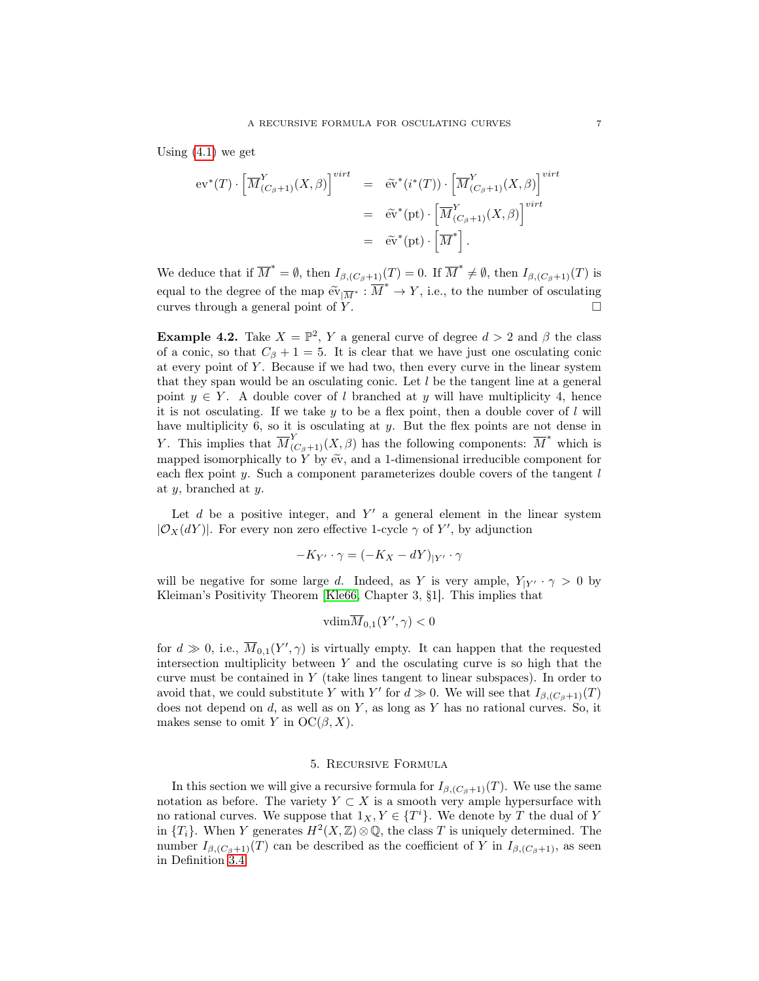<span id="page-6-2"></span>Using  $(4.1)$  we get

$$
\begin{aligned} \operatorname{ev}^*(T) \cdot \left[ \overline{M}^Y_{(C_\beta + 1)}(X, \beta) \right]^{virt} &= \widetilde{\operatorname{ev}}^*(i^*(T)) \cdot \left[ \overline{M}^Y_{(C_\beta + 1)}(X, \beta) \right]^{virt} \\ &= \widetilde{\operatorname{ev}}^*(\operatorname{pt}) \cdot \left[ \overline{M}^Y_{(C_\beta + 1)}(X, \beta) \right]^{virt} \\ &= \widetilde{\operatorname{ev}}^*(\operatorname{pt}) \cdot \left[ \overline{M}^* \right]. \end{aligned}
$$

We deduce that if  $\overline{M}^* = \emptyset$ , then  $I_{\beta,(C_\beta+1)}(T) = 0$ . If  $\overline{M}^* \neq \emptyset$ , then  $I_{\beta,(C_\beta+1)}(T)$  is equal to the degree of the map  $\widetilde{ev}_{|\overline{M}^*}: \overline{M}^* \to Y$ , i.e., to the number of osculating<br>everyor through a general point of  $Y$ curves through a general point of  $Y$ .

<span id="page-6-1"></span>**Example 4.2.** Take  $X = \mathbb{P}^2$ , Y a general curve of degree  $d > 2$  and  $\beta$  the class of a conic, so that  $C_\beta + 1 = 5$ . It is clear that we have just one osculating conic at every point of  $Y$ . Because if we had two, then every curve in the linear system that they span would be an osculating conic. Let  $l$  be the tangent line at a general point  $y \in Y$ . A double cover of l branched at y will have multiplicity 4, hence it is not osculating. If we take  $y$  to be a flex point, then a double cover of  $l$  will have multiplicity 6, so it is osculating at y. But the flex points are not dense in Y. This implies that  $\overline{M}_{(C_\beta+1)}^Y(X,\beta)$  has the following components:  $\overline{M}^*$  which is mapped isomorphically to Y by  $eV$ , and a 1-dimensional irreducible component for each flex point  $y$ . Such a component parameterizes double covers of the tangent  $l$ at y, branched at y.

Let  $d$  be a positive integer, and  $Y'$  a general element in the linear system  $|\mathcal{O}_X(dY)|$ . For every non zero effective 1-cycle  $\gamma$  of Y', by adjunction

$$
-K_{Y'} \cdot \gamma = (-K_X - dY)_{|Y'} \cdot \gamma
$$

will be negative for some large d. Indeed, as Y is very ample,  $Y_{|Y'} \cdot \gamma > 0$  by Kleiman's Positivity Theorem [\[Kle66,](#page-14-4) Chapter 3, §1]. This implies that

$$
\overline{\text{vdim}M}_{0,1}(Y',\gamma) < 0
$$

for  $d \gg 0$ , i.e.,  $\overline{M}_{0,1}(Y', \gamma)$  is virtually empty. It can happen that the requested intersection multiplicity between  $Y$  and the osculating curve is so high that the curve must be contained in Y (take lines tangent to linear subspaces). In order to avoid that, we could substitute Y with Y' for  $d \gg 0$ . We will see that  $I_{\beta,(C_\beta+1)}(T)$ does not depend on  $d$ , as well as on  $Y$ , as long as  $Y$  has no rational curves. So, it makes sense to omit Y in  $OC(\beta, X)$ .

## 5. Recursive Formula

<span id="page-6-0"></span>In this section we will give a recursive formula for  $I_{\beta,(C_\beta+1)}(T)$ . We use the same notation as before. The variety  $Y \subset X$  is a smooth very ample hypersurface with no rational curves. We suppose that  $1_X, Y \in \{T^i\}$ . We denote by T the dual of Y in  ${T_i}$ . When Y generates  $H^2(X, \mathbb{Z}) \otimes \mathbb{Q}$ , the class T is uniquely determined. The number  $I_{\beta,(C_\beta+1)}(T)$  can be described as the coefficient of Y in  $I_{\beta,(C_\beta+1)}$ , as seen in Definition [3.4.](#page-3-1)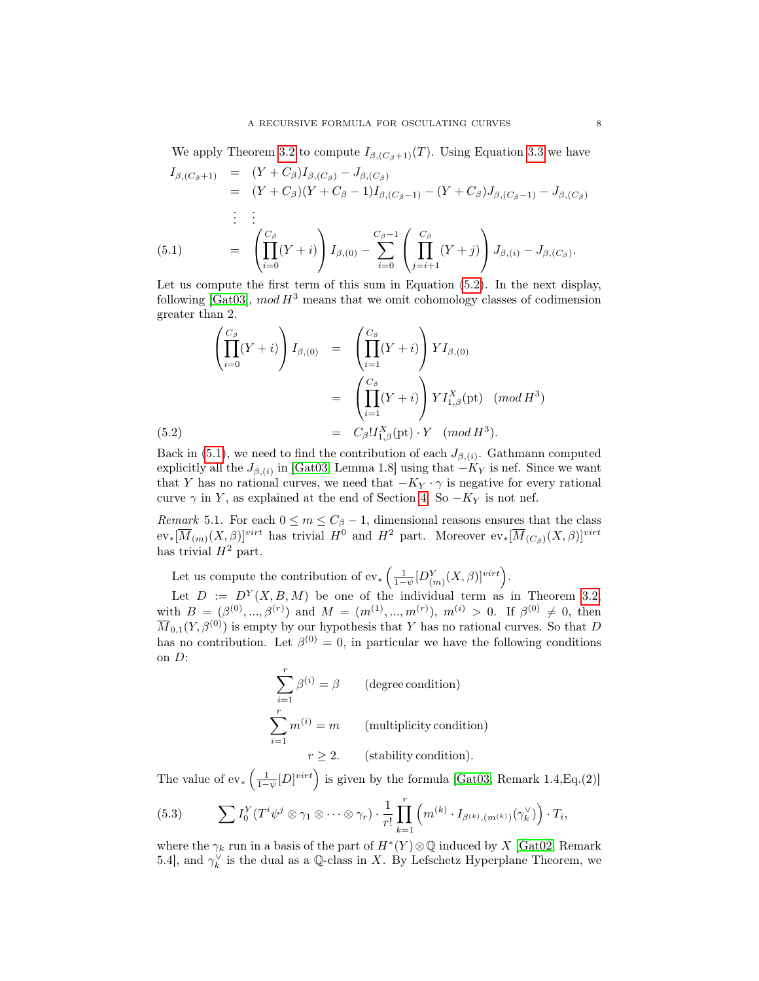<span id="page-7-4"></span>We apply Theorem [3.2](#page-3-2) to compute  $I_{\beta,(C_{\beta}+1)}(T)$ . Using Equation [3.3](#page-4-2) we have

<span id="page-7-1"></span>
$$
I_{\beta,(C_{\beta}+1)} = (Y + C_{\beta})I_{\beta,(C_{\beta})} - J_{\beta,(C_{\beta})}
$$
  
\n
$$
= (Y + C_{\beta})(Y + C_{\beta} - 1)I_{\beta,(C_{\beta}-1)} - (Y + C_{\beta})J_{\beta,(C_{\beta}-1)} - J_{\beta,(C_{\beta})}
$$
  
\n
$$
\vdots \qquad \vdots
$$
  
\n(5.1) 
$$
= \left(\prod_{i=0}^{C_{\beta}} (Y + i)\right)I_{\beta,(0)} - \sum_{i=0}^{C_{\beta}-1} \left(\prod_{j=i+1}^{C_{\beta}} (Y + j)\right)J_{\beta,(i)} - J_{\beta,(C_{\beta})}.
$$

Let us compute the first term of this sum in Equation [\(5.2\)](#page-7-0). In the next display, following [\[Gat03\]](#page-13-5),  $mod H^3$  means that we omit cohomology classes of codimension greater than 2.

<span id="page-7-0"></span>
$$
\left(\prod_{i=0}^{C_{\beta}}(Y+i)\right)I_{\beta,(0)} = \left(\prod_{i=1}^{C_{\beta}}(Y+i)\right)YI_{\beta,(0)}
$$
\n
$$
= \left(\prod_{i=1}^{C_{\beta}}(Y+i)\right)YI_{1,\beta}^{X}(\text{pt}) \quad (mod H^{3})
$$
\n
$$
(5.2) = C_{\beta}!I_{1,\beta}^{X}(\text{pt}) \cdot Y \quad (mod H^{3}).
$$

Back in [\(5.1\)](#page-7-1), we need to find the contribution of each  $J_{\beta,(i)}$ . Gathmann computed explicitly all the  $J_{\beta,(i)}$  in [\[Gat03,](#page-13-5) Lemma 1.8] using that  $-K_Y$  is nef. Since we want that Y has no rational curves, we need that  $-K_Y \cdot \gamma$  is negative for every rational curve  $\gamma$  in Y, as explained at the end of Section [4.](#page-4-1) So  $-K_Y$  is not nef.

<span id="page-7-3"></span>Remark 5.1. For each  $0 \le m \le C_\beta - 1$ , dimensional reasons ensures that the class  $ev_*[\overline{M}_{(m)}(X,\beta)]^{virt}$  has trivial  $H^0$  and  $H^2$  part. Moreover  $ev_*[\overline{M}_{(C_\beta)}(X,\beta)]^{virt}$ has trivial  $H^2$  part.

Let us compute the contribution of  $ev_*\left(\frac{1}{1-\psi}[D_{(m)}^Y(X,\beta)]^{virt}\right)$ .

Let  $D := D^{Y}(X, B, M)$  be one of the individual term as in Theorem [3.2,](#page-3-2) with  $B = (\beta^{(0)}, ..., \beta^{(r)})$  and  $M = (m^{(1)}, ..., m^{(r)})$ ,  $m^{(i)} > 0$ . If  $\beta^{(0)} \neq 0$ , then  $\overline{M}_{0,1}(Y,\beta^{(0)})$  is empty by our hypothesis that Y has no rational curves. So that D has no contribution. Let  $\beta^{(0)} = 0$ , in particular we have the following conditions on D:

$$
\sum_{i=1}^{r} \beta^{(i)} = \beta
$$
 (degree condition)  

$$
\sum_{i=1}^{r} m^{(i)} = m
$$
 (multiplicity condition)  

$$
r \ge 2.
$$
 (stability condition).

The value of  $ev_*\left(\frac{1}{1-\psi}[D]^{virt}\right)$  is given by the formula [\[Gat03,](#page-13-5) Remark 1.4,Eq.(2)]

<span id="page-7-2"></span>(5.3) 
$$
\sum I_0^Y(T^i\psi^j\otimes\gamma_1\otimes\cdots\otimes\gamma_r)\cdot\frac{1}{r!}\prod_{k=1}^r\left(m^{(k)}\cdot I_{\beta^{(k)},(m^{(k)})}(\gamma_k^{\vee})\right)\cdot T_i,
$$

where the  $\gamma_k$  run in a basis of the part of  $H^*(Y)\otimes\mathbb{Q}$  induced by X [\[Gat02,](#page-13-4) Remark 5.4], and  $\gamma_k^{\vee}$  is the dual as a Q-class in X. By Lefschetz Hyperplane Theorem, we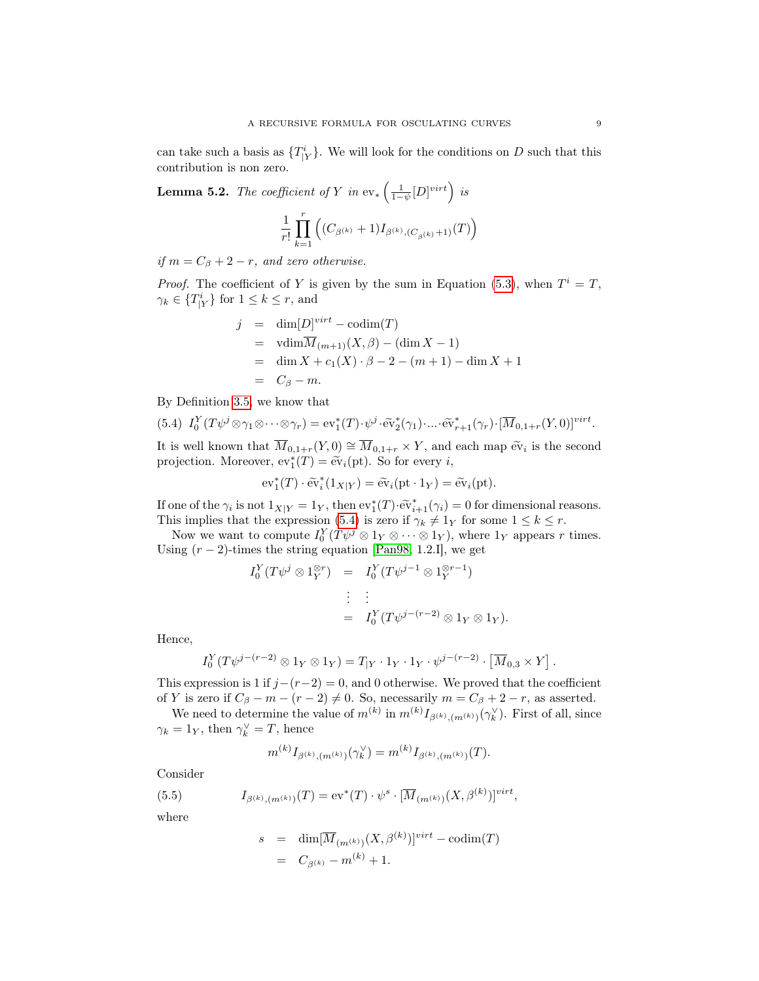<span id="page-8-3"></span>can take such a basis as  $\{T^i_{|Y}\}\$ . We will look for the conditions on D such that this contribution is non zero.

<span id="page-8-2"></span>**Lemma 5.2.** The coefficient of Y in  $ev_*\left(\frac{1}{1-\psi}[D]^{virt}\right)$  is

$$
\frac{1}{r!} \prod_{k=1}^r \left( (C_{\beta^{(k)}} + 1) I_{\beta^{(k)}, (C_{\beta^{(k)}} + 1)}(T) \right)
$$

if  $m = C_\beta + 2 - r$ , and zero otherwise.

*Proof.* The coefficient of Y is given by the sum in Equation [\(5.3\)](#page-7-2), when  $T^i = T$ ,  $\gamma_k \in \{T^i_{\mid Y}\}\text{ for }1 \leq k \leq r\text{, and}$ 

$$
j = \dim[D]^{virt} - \operatorname{codim}(T)
$$
  
=  $\operatorname{vdim}\overline{M}_{(m+1)}(X,\beta) - (\dim X - 1)$   
=  $\dim X + c_1(X) \cdot \beta - 2 - (m+1) - \dim X + 1$   
=  $C_{\beta} - m$ .

By Definition [3.5,](#page-4-3) we know that

<span id="page-8-0"></span>(5.4) 
$$
I_0^Y(T\psi^j \otimes \gamma_1 \otimes \cdots \otimes \gamma_r) = \text{ev}_1^*(T) \cdot \psi^j \cdot \widetilde{\text{ev}}_2^*(\gamma_1) \cdot \cdots \cdot \widetilde{\text{ev}}_{r+1}^*(\gamma_r) \cdot [\overline{M}_{0,1+r}(Y,0)]^{virt}.
$$

It is well known that  $\overline{M}_{0,1+r}(Y,0) \cong \overline{M}_{0,1+r} \times Y$ , and each map  $\tilde{ev}_i$  is the second<br>projection. Moreover,  $ov^*(T) = \tilde{ev}_i(r)$ . So for every i projection. Moreover,  $ev_1^*(T) = ev_i(pt)$ . So for every *i*,

$$
\mathrm{ev}_1^*(T) \cdot \widetilde{\mathrm{ev}}_i^*(1_{X|Y}) = \widetilde{\mathrm{ev}}_i(\mathrm{pt} \cdot 1_Y) = \widetilde{\mathrm{ev}}_i(\mathrm{pt}).
$$

If one of the  $\gamma_i$  is not  $1_{X|Y} = 1_Y$ , then  $ev_1^*(T) \cdot \widetilde{ev}_{i+1}^*(\gamma_i) = 0$  for dimensional reasons.<br>This implies that the expression (5.4) is zero if  $\alpha_i \neq 1$  for some  $1 \leq k \leq r$ . This implies that the expression [\(5.4\)](#page-8-0) is zero if  $\gamma_k \neq 1_Y$  for some  $1 \leq k \leq r$ .

Now we want to compute  $I_0^Y(T\psi^j \otimes 1_Y \otimes \cdots \otimes 1_Y)$ , where  $1_Y$  appears r times. Using  $(r-2)$ -times the string equation [\[Pan98,](#page-14-2) 1.2.I], we get

$$
I_0^Y(T\psi^j \otimes 1_Y^{\otimes r}) = I_0^Y(T\psi^{j-1} \otimes 1_Y^{\otimes r-1})
$$
  

$$
\vdots \qquad \vdots
$$
  

$$
= I_0^Y(T\psi^{j-(r-2)} \otimes 1_Y \otimes 1_Y).
$$

Hence,

$$
I_0^Y(T\psi^{j-(r-2)} \otimes 1_Y \otimes 1_Y) = T_{|Y} \cdot 1_Y \cdot 1_Y \cdot \psi^{j-(r-2)} \cdot \left[\overline{M}_{0,3} \times Y\right].
$$

This expression is 1 if  $j-(r-2) = 0$ , and 0 otherwise. We proved that the coefficient of Y is zero if  $C_\beta - m - (r - 2) \neq 0$ . So, necessarily  $m = C_\beta + 2 - r$ , as asserted.

We need to determine the value of  $m^{(k)}$  in  $m^{(k)} I_{\beta^{(k)},(m^{(k)})}(\gamma_k^{\vee})$ . First of all, since  $\gamma_k = 1_Y$ , then  $\gamma_k^{\vee} = T$ , hence

<span id="page-8-1"></span>
$$
m^{(k)}I_{\beta^{(k)},(m^{(k)})}(\gamma_k^{\vee}) = m^{(k)}I_{\beta^{(k)},(m^{(k)})}(T).
$$

Consider

(5.5) 
$$
I_{\beta^{(k)},(m^{(k)})}(T) = \text{ev}^*(T) \cdot \psi^s \cdot [\overline{M}_{(m^{(k)})}(X,\beta^{(k)})]^{virt},
$$

where

$$
s = \dim[\overline{M}_{(m^{(k)})}(X,\beta^{(k)})]^{virt} - \text{codim}(T)
$$
  
= 
$$
C_{\beta^{(k)}} - m^{(k)} + 1.
$$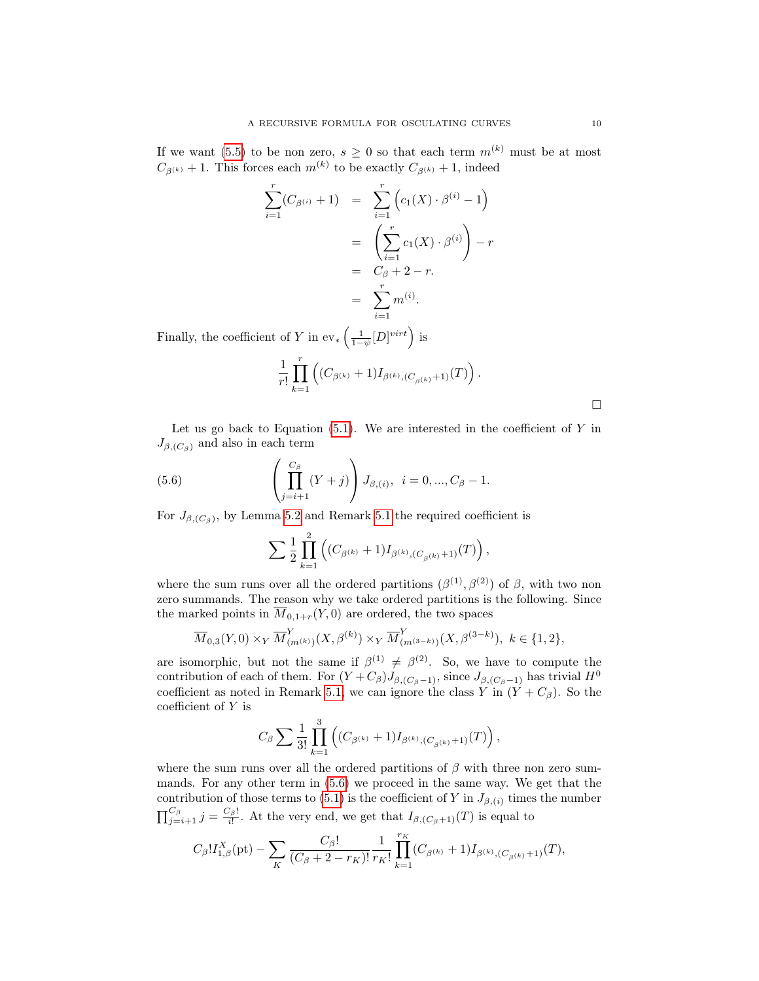If we want [\(5.5\)](#page-8-1) to be non zero,  $s \geq 0$  so that each term  $m^{(k)}$  must be at most  $C_{\beta^{(k)}} + 1$ . This forces each  $m^{(k)}$  to be exactly  $C_{\beta^{(k)}} + 1$ , indeed

$$
\sum_{i=1}^{r} (C_{\beta^{(i)}} + 1) = \sum_{i=1}^{r} \left( c_1(X) \cdot \beta^{(i)} - 1 \right)
$$
  
= 
$$
\left( \sum_{i=1}^{r} c_1(X) \cdot \beta^{(i)} \right) - r
$$
  
= 
$$
C_{\beta} + 2 - r.
$$
  
= 
$$
\sum_{i=1}^{r} m^{(i)}.
$$

Finally, the coefficient of Y in  $ev_*\left(\frac{1}{1-\psi}[D]^{virt}\right)$  is

$$
\frac{1}{r!}\prod_{k=1}^r \left( (C_{\beta^{(k)}}+1)I_{\beta^{(k)},(C_{\beta^{(k)}}+1)}(T) \right).
$$

Let us go back to Equation  $(5.1)$ . We are interested in the coefficient of Y in  $J_{\beta,(C_{\beta})}$  and also in each term

(5.6) 
$$
\left(\prod_{j=i+1}^{C_{\beta}} (Y+j)\right) J_{\beta,(i)}, \quad i=0,...,C_{\beta}-1.
$$

For  $J_{\beta,(C_{\beta})}$ , by Lemma [5.2](#page-8-2) and Remark [5.1](#page-7-3) the required coefficient is

<span id="page-9-0"></span>
$$
\sum \frac{1}{2} \prod_{k=1}^{2} \left( (C_{\beta^{(k)}} + 1) I_{\beta^{(k)},(C_{\beta^{(k)}} + 1)}(T) \right),
$$

where the sum runs over all the ordered partitions  $(\beta^{(1)}, \beta^{(2)})$  of  $\beta$ , with two non zero summands. The reason why we take ordered partitions is the following. Since the marked points in  $\overline{M}_{0,1+r}(Y,0)$  are ordered, the two spaces

$$
\overline{M}_{0,3}(Y,0) \times_Y \overline{M}_{(m^{(k)})}^Y(X,\beta^{(k)}) \times_Y \overline{M}_{(m^{(3-k)})}^Y(X,\beta^{(3-k)}), \ k \in \{1,2\},\
$$

are isomorphic, but not the same if  $\beta^{(1)} \neq \beta^{(2)}$ . So, we have to compute the contribution of each of them. For  $(Y + C_{\beta})J_{\beta,(C_{\beta}-1)}$ , since  $J_{\beta,(C_{\beta}-1)}$  has trivial  $H^0$ coefficient as noted in Remark [5.1,](#page-7-3) we can ignore the class Y in  $(Y + C_{\beta})$ . So the coefficient of Y is

$$
C_{\beta} \sum \frac{1}{3!} \prod_{k=1}^{3} \left( (C_{\beta^{(k)}} + 1) I_{\beta^{(k)},(C_{\beta^{(k)}}+1)}(T) \right),
$$

where the sum runs over all the ordered partitions of  $\beta$  with three non zero summands. For any other term in [\(5.6\)](#page-9-0) we proceed in the same way. We get that the contribution of those terms to [\(5.1\)](#page-7-1) is the coefficient of Y in  $J_{\beta,(i)}$  times the number  $\prod_{j=i+1}^{C_{\beta}} j = \frac{C_{\beta}!}{i!}$ . At the very end, we get that  $I_{\beta,(C_{\beta}+1)}(T)$  is equal to

$$
C_{\beta}!I_{1,\beta}^X(\mathrm{pt})-\sum_K\frac{C_{\beta}!}{(C_{\beta}+2-r_K)!}\frac{1}{r_K!}\prod_{k=1}^{r_K}(C_{\beta^{(k)}}+1)I_{\beta^{(k)},(C_{\beta^{(k)}}+1)}(T),
$$

 $\Box$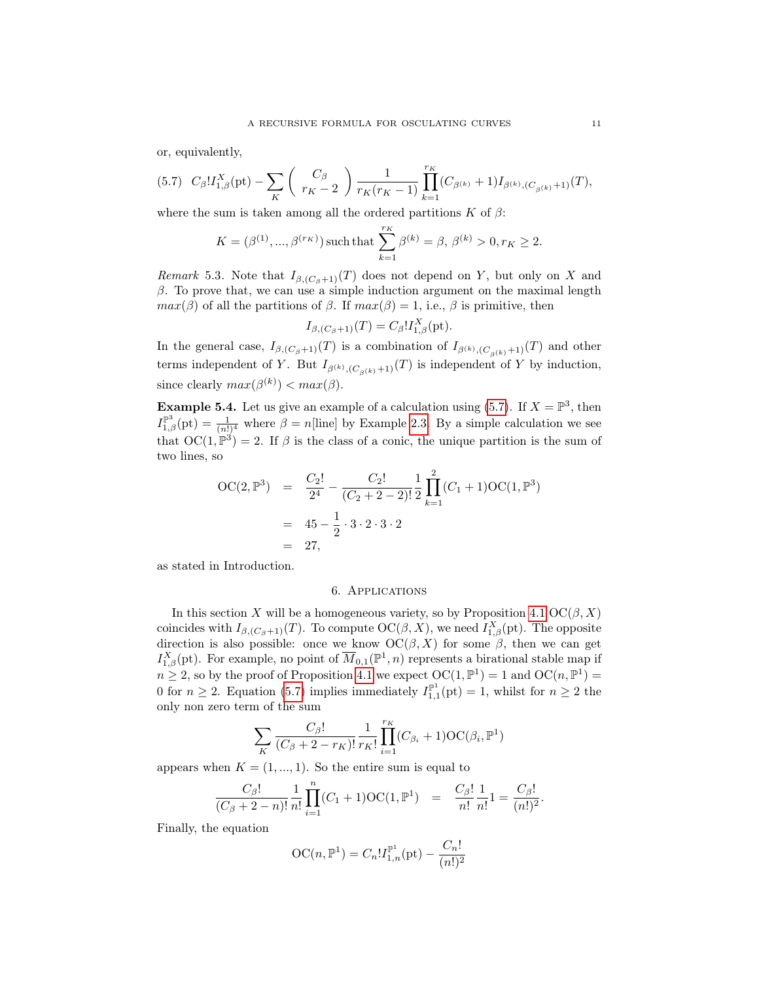or, equivalently,

<span id="page-10-0"></span>
$$
(5.7)\quad C_{\beta}!I_{1,\beta}^X(\mathrm{pt})-\sum_K\left(\begin{array}{c}C_{\beta}\\r_K-2\end{array}\right)\frac{1}{r_K(r_K-1)}\prod_{k=1}^{r_K}(C_{\beta^{(k)}}+1)I_{\beta^{(k)},(C_{\beta^{(k)}}+1)}(T),
$$

where the sum is taken among all the ordered partitions K of  $\beta$ :

$$
K=(\beta^{(1)},...,\beta^{(r_K)})\,\text{such that}\,\sum_{k=1}^{r_K}\beta^{(k)}=\beta,\,\beta^{(k)}>0, r_K\geq 2.
$$

Remark 5.3. Note that  $I_{\beta,(C_\beta+1)}(T)$  does not depend on Y, but only on X and  $\beta$ . To prove that, we can use a simple induction argument on the maximal length  $max(\beta)$  of all the partitions of  $\beta$ . If  $max(\beta) = 1$ , i.e.,  $\beta$  is primitive, then

$$
I_{\beta,(C_{\beta}+1)}(T) = C_{\beta}! I_{1,\beta}^X(\mathrm{pt}).
$$

In the general case,  $I_{\beta,(C_\beta+1)}(T)$  is a combination of  $I_{\beta^{(k)},(C_{\beta^{(k)}}+1)}(T)$  and other terms independent of Y. But  $I_{\beta^{(k)},(C_{\beta^{(k)}}+1)}(T)$  is independent of Y by induction, since clearly  $max(\beta^{(k)}) < max(\beta)$ .

**Example 5.4.** Let us give an example of a calculation using [\(5.7\)](#page-10-0). If  $X = \mathbb{P}^3$ , then  $I_{1,\beta}^{\mathbb{P}^3}(\text{pt}) = \frac{1}{(n!)^4}$  where  $\beta = n[\text{line}]$  by Example [2.3.](#page-2-3) By a simple calculation we see that  $OC(1, \mathbb{P}^3) = 2$ . If  $\beta$  is the class of a conic, the unique partition is the sum of two lines, so

$$
OC(2, \mathbb{P}^3) = \frac{C_2!}{2^4} - \frac{C_2!}{(C_2 + 2 - 2)!} \frac{1}{2} \prod_{k=1}^2 (C_1 + 1) OC(1, \mathbb{P}^3)
$$
  
= 45 -  $\frac{1}{2} \cdot 3 \cdot 2 \cdot 3 \cdot 2$   
= 27,

<span id="page-10-1"></span>as stated in Introduction.

# 6. Applications

In this section X will be a homogeneous variety, so by Proposition [4.1](#page-4-0)  $OC(\beta, X)$ coincides with  $I_{\beta,(C_\beta+1)}(T)$ . To compute  $OC(\beta,X)$ , we need  $I_{1,\beta}^X(\text{pt})$ . The opposite direction is also possible: once we know  $\mathrm{OC}(\beta, X)$  for some  $\beta$ , then we can get  $I_{1,\beta}^X(\text{pt})$ . For example, no point of  $\overline{M}_{0,1}(\mathbb{P}^1,n)$  represents a birational stable map if  $n \geq 2$ , so by the proof of Proposition [4.1](#page-4-0) we expect  $OC(1, \mathbb{P}^1) = 1$  and  $OC(n, \mathbb{P}^1) = 1$ 0 for  $n \ge 2$ . Equation [\(5.7\)](#page-10-0) implies immediately  $I_{1,1}^{\mathbb{P}^1}(\text{pt}) = 1$ , whilst for  $n \ge 2$  the only non zero term of the sum

$$
\sum_{K} \frac{C_{\beta}!}{(C_{\beta}+2-r_K)!} \frac{1}{r_K!} \prod_{i=1}^{r_K} (C_{\beta_i}+1) \mathrm{OC}(\beta_i, \mathbb{P}^1)
$$

appears when  $K = (1, ..., 1)$ . So the entire sum is equal to

$$
\frac{C_{\beta}!}{(C_{\beta}+2-n)!} \frac{1}{n!} \prod_{i=1}^{n} (C_1+1) \text{OC}(1,\mathbb{P}^1) = \frac{C_{\beta}!}{n!} \frac{1}{n!} 1 = \frac{C_{\beta}!}{(n!)^2}.
$$

Finally, the equation

$$
OC(n, \mathbb{P}^1) = C_n! I_{1,n}^{\mathbb{P}^1}(\text{pt}) - \frac{C_n!}{(n!)^2}
$$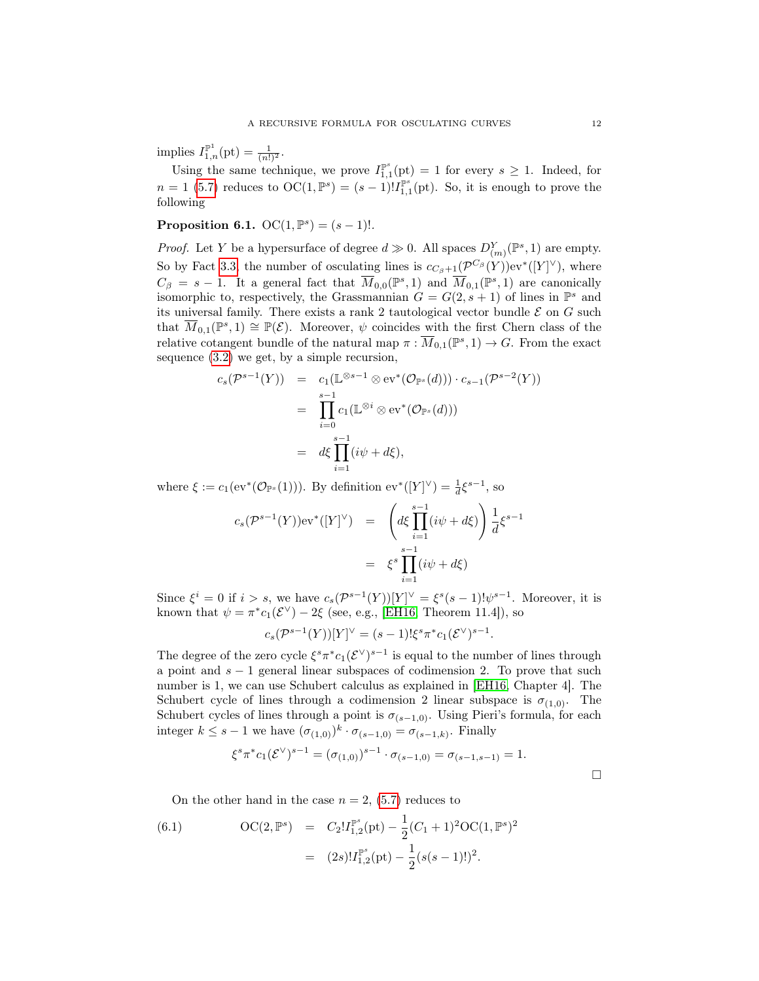<span id="page-11-1"></span>implies  $I_{1,n}^{\mathbb{P}^1}(\text{pt}) = \frac{1}{(n!)^2}$ .

Using the same technique, we prove  $I_{1,1}^{\mathbb{P}^s}(\text{pt}) = 1$  for every  $s \geq 1$ . Indeed, for  $n=1$  [\(5.7\)](#page-10-0) reduces to  $\mathrm{OC}(1,\mathbb{P}^s)=(s-1)!I_{1,1}^{\mathbb{P}^s}(\mathrm{pt})$ . So, it is enough to prove the following

**Proposition 6.1.**  $OC(1, \mathbb{P}^s) = (s-1)!$ .

*Proof.* Let Y be a hypersurface of degree  $d \gg 0$ . All spaces  $D_{(m)}^Y(\mathbb{P}^s, 1)$  are empty. So by Fact [3.3,](#page-3-3) the number of osculating lines is  $c_{C_{\beta}+1}(\mathcal{P}^{C_{\beta}}(Y))$ ev<sup>\*</sup>([Y]<sup> $\vee$ </sup>), where  $C_{\beta} = s - 1$ . It a general fact that  $\overline{M}_{0,0}(\mathbb{P}^s,1)$  and  $\overline{M}_{0,1}(\mathbb{P}^s,1)$  are canonically isomorphic to, respectively, the Grassmannian  $G = G(2, s + 1)$  of lines in  $\mathbb{P}^s$  and its universal family. There exists a rank 2 tautological vector bundle  $\mathcal E$  on  $G$  such that  $\overline{M}_{0,1}(\mathbb{P}^s,1) \cong \mathbb{P}(\mathcal{E})$ . Moreover,  $\psi$  coincides with the first Chern class of the relative cotangent bundle of the natural map  $\pi : \overline{M}_{0,1}(\mathbb{P}^s,1) \to G$ . From the exact sequence [\(3.2\)](#page-3-4) we get, by a simple recursion,

$$
c_s(\mathcal{P}^{s-1}(Y)) = c_1(\mathbb{L}^{\otimes s-1} \otimes \text{ev}^*(\mathcal{O}_{\mathbb{P}^s}(d))) \cdot c_{s-1}(\mathcal{P}^{s-2}(Y))
$$
  
= 
$$
\prod_{i=0}^{s-1} c_1(\mathbb{L}^{\otimes i} \otimes \text{ev}^*(\mathcal{O}_{\mathbb{P}^s}(d)))
$$
  
= 
$$
d\xi \prod_{i=1}^{s-1} (i\psi + d\xi),
$$

where  $\xi := c_1(\mathrm{ev}^*(\mathcal{O}_{\mathbb{P}^s}(1)))$ . By definition  $\mathrm{ev}^*([Y]^\vee) = \frac{1}{d}\xi^{s-1}$ , so

$$
c_s(\mathcal{P}^{s-1}(Y))ev^*([Y]^\vee) = \left(d\xi \prod_{i=1}^{s-1} (i\psi + d\xi)\right) \frac{1}{d} \xi^{s-1}
$$

$$
= \xi^s \prod_{i=1}^{s-1} (i\psi + d\xi)
$$

Since  $\xi^i = 0$  if  $i > s$ , we have  $c_s(\mathcal{P}^{s-1}(Y))[Y]^{\vee} = \xi^s(s-1)!\psi^{s-1}$ . Moreover, it is known that  $\psi = \pi^* c_1(\mathcal{E}^{\vee}) - 2\xi$  (see, e.g., [\[EH16,](#page-13-7) Theorem 11.4]), so

$$
c_s(\mathcal{P}^{s-1}(Y))[Y]^\vee = (s-1)!\xi^s\pi^*c_1(\mathcal{E}^\vee)^{s-1}.
$$

The degree of the zero cycle  $\xi^s \pi^* c_1(\mathcal{E}^{\vee})^{s-1}$  is equal to the number of lines through a point and  $s - 1$  general linear subspaces of codimension 2. To prove that such number is 1, we can use Schubert calculus as explained in [\[EH16,](#page-13-7) Chapter 4]. The Schubert cycle of lines through a codimension 2 linear subspace is  $\sigma_{(1,0)}$ . The Schubert cycles of lines through a point is  $\sigma_{(s-1,0)}$ . Using Pieri's formula, for each integer  $k \leq s-1$  we have  $(\sigma_{(1,0)})^k \cdot \sigma_{(s-1,0)} = \sigma_{(s-1,k)}$ . Finally

<span id="page-11-0"></span>
$$
\xi^s \pi^* c_1(\mathcal{E}^{\vee})^{s-1} = (\sigma_{(1,0)})^{s-1} \cdot \sigma_{(s-1,0)} = \sigma_{(s-1,s-1)} = 1.
$$

 $\Box$ 

On the other hand in the case  $n = 2$ , [\(5.7\)](#page-10-0) reduces to

(6.1) 
$$
\text{OC}(2, \mathbb{P}^s) = C_2! I_{1,2}^{\mathbb{P}^s}(\text{pt}) - \frac{1}{2} (C_1 + 1)^2 \text{OC}(1, \mathbb{P}^s)^2
$$

$$
= (2s)! I_{1,2}^{\mathbb{P}^s}(\text{pt}) - \frac{1}{2} (s(s-1)!)^2.
$$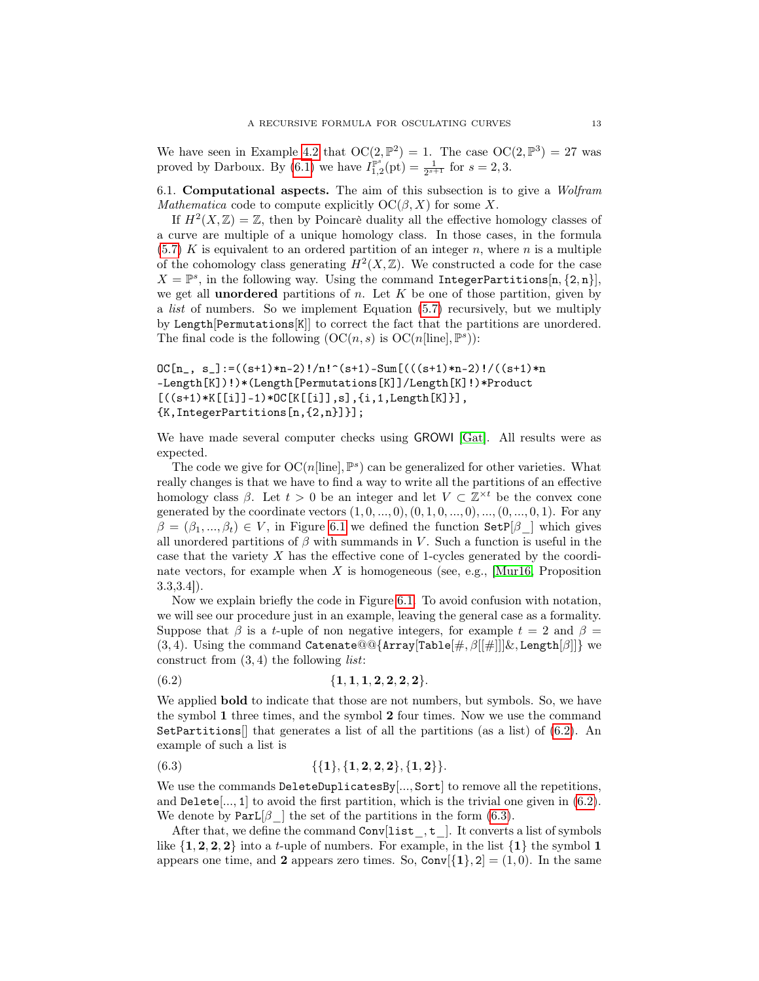<span id="page-12-2"></span>We have seen in Example [4.2](#page-6-1) that  $OC(2, \mathbb{P}^2) = 1$ . The case  $OC(2, \mathbb{P}^3) = 27$  was proved by Darboux. By [\(6.1\)](#page-11-0) we have  $I_{1,2}^{\mathbb{P}^{s}}(\text{pt}) = \frac{1}{2^{s+1}}$  for  $s = 2,3$ .

6.1. Computational aspects. The aim of this subsection is to give a Wolfram Mathematica code to compute explicitly  $OC(\beta, X)$  for some X.

If  $H^2(X,\mathbb{Z})=\mathbb{Z}$ , then by Poincarè duality all the effective homology classes of a curve are multiple of a unique homology class. In those cases, in the formula  $(5.7)$  K is equivalent to an ordered partition of an integer n, where n is a multiple of the cohomology class generating  $H^2(X,\mathbb{Z})$ . We constructed a code for the case  $X = \mathbb{P}^s$ , in the following way. Using the command IntegerPartitions[n, {2, n}], we get all **unordered** partitions of n. Let  $K$  be one of those partition, given by a list of numbers. So we implement Equation [\(5.7\)](#page-10-0) recursively, but we multiply by Length[Permutations[K]] to correct the fact that the partitions are unordered. The final code is the following  $(OC(n, s)$  is  $OC(n[line], \mathbb{P}^s))$ :

```
DC[n_, s_]:=((s+1)*n-2)!/n!^(s+1)-Sum[(((s+1)*n-2)!/((s+1)*n
-Length[K])!)*(Length[Permutations[K]]/Length[K]!)*Product
[((s+1)*K[[i]]-1)*OC[K[[i]], s], {i,1,Length[K]}],{K,IntegerPartitions[n,{2,n}]}];
```
We have made several computer checks using GROWI [\[Gat\]](#page-13-8). All results were as expected.

The code we give for  $OC(n[line], \mathbb{P}^s)$  can be generalized for other varieties. What really changes is that we have to find a way to write all the partitions of an effective homology class  $\beta$ . Let  $t > 0$  be an integer and let  $V \subset \mathbb{Z}^{\times t}$  be the convex cone generated by the coordinate vectors  $(1, 0, ..., 0), (0, 1, 0, ..., 0), ..., (0, ..., 0, 1)$ . For any  $\beta = (\beta_1, ..., \beta_t) \in V$ , in Figure [6.1](#page-13-9) we defined the function Set  $\beta$  | which gives all unordered partitions of  $\beta$  with summands in V. Such a function is useful in the case that the variety X has the effective cone of 1-cycles generated by the coordinate vectors, for example when  $X$  is homogeneous (see, e.g., [\[Mur16,](#page-14-5) Proposition 3.3,3.4]).

Now we explain briefly the code in Figure [6.1.](#page-13-9) To avoid confusion with notation, we will see our procedure just in an example, leaving the general case as a formality. Suppose that  $\beta$  is a t-uple of non negative integers, for example  $t = 2$  and  $\beta =$ (3, 4). Using the command Catenate@@{Array[Table[#,  $\beta$ [[#]]]&, Length[ $\beta$ ]]} we construct from  $(3, 4)$  the following *list*:

<span id="page-12-0"></span>
$$
(6.2) \t{1, 1, 1, 2, 2, 2, 2}.
$$

We applied **bold** to indicate that those are not numbers, but symbols. So, we have the symbol 1 three times, and the symbol 2 four times. Now we use the command SetPartitions  $\left| \right|$  that generates a list of all the partitions (as a list) of [\(6.2\)](#page-12-0). An example of such a list is

<span id="page-12-1"></span>
$$
{(6.3)}\qquad \qquad {\{1\},\{1,2,2,2\},\{1,2\}}.
$$

We use the commands DeleteDuplicatesBy[..., Sort] to remove all the repetitions, and Delete,  $[0, 1]$  to avoid the first partition, which is the trivial one given in  $(6.2)$ . We denote by  $Part[\beta]$  the set of the partitions in the form [\(6.3\)](#page-12-1).

After that, we define the command  $Conv[list_, t_.]$ . It converts a list of symbols like  $\{1, 2, 2, 2\}$  into a t-uple of numbers. For example, in the list  $\{1\}$  the symbol 1 appears one time, and 2 appears zero times. So,  $Conv[1], 2] = (1, 0)$ . In the same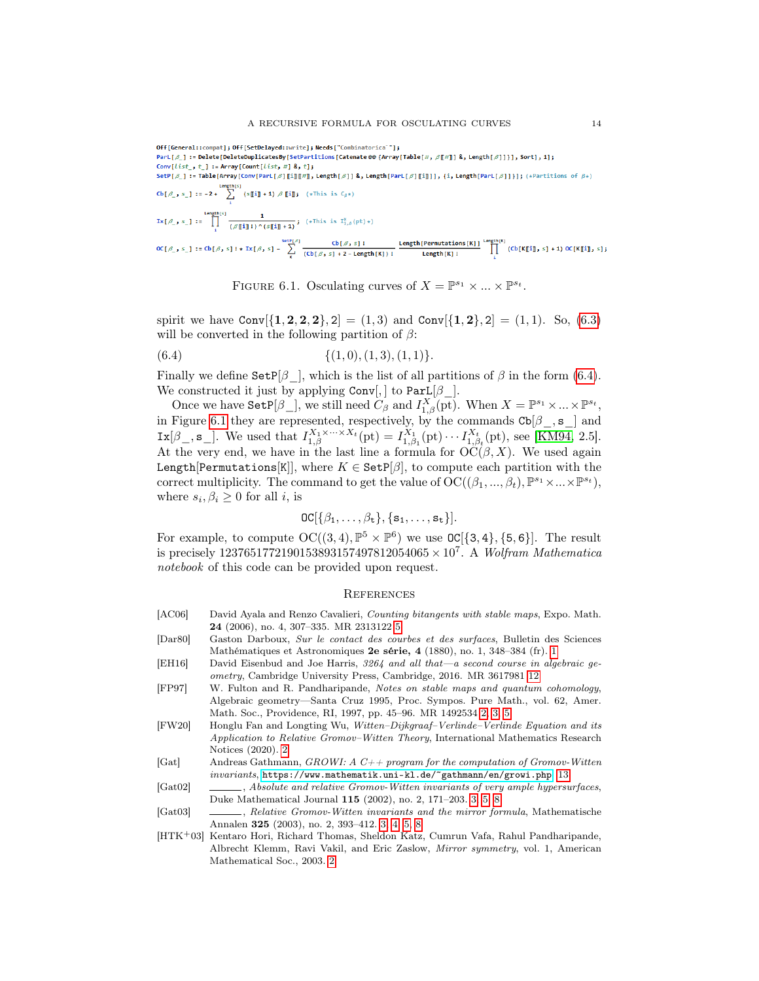<span id="page-13-11"></span>\nOff[General:compact] ; Off[SetDelaged::write] ; 
$$
\text{Reds}("Combinatorica" ]
$$
 ;  
\nPart $[\beta]$  := Delete[DeleteDuplicatesBy[SetPartitions[Cacheate @ {Array[Table[ $\#}, \beta[\![\#]\!])$  ,  $\text{Length}[\beta]]$ }],  $\text{Sort}[\,, 1]$  ;  
\nConv[List\_, t\_, ] :=  $\text{Arrey}[\text{Count}[list, #]$  ,  $\emptyset$  ,  $\emptyset$  ;  
\nSetP[ $\beta$ ] := Table[Arg[ConV[Part[ $\beta]$ ][i][\![\#]\!], length[ $\beta$ ]] ,  $\emptyset$ , Length[Part[ $\beta$ ][i][\!], {i, length[Part[ $\beta$ ]]}] ;  $\{\ast$ Partitions of  $\beta\ast$   
\nLength[ $\alpha$ ],  $\alpha$ ]. := Table[Arg[ $\alpha$ ]  
\n $\text{Left}[\beta]$  :=  $\alpha$  = 2 +  $\sum_{i=1}^{n} (\text{sign}(x_i) \text{ min} \cdot \text{length}[\beta])$  ,  $\{\ast$  This is  $C_{\beta}\ast$   
\n $\text{Int}[\beta]$  = 2 +  $\sum_{i=1}^{n} (\text{sign}(x_i) \cdot \text{dim}(x_i) \cdot \text{dim}(x_i) \cdot \text{dim}(x_i) \cdot \text{dim}(x_i) \cdot \text{dim}(x_i) \cdot \text{dim}(x_i) \cdot \text{dim}(x_i) \cdot \text{dim}(x_i) \cdot \text{dim}(x_i) \cdot \text{dim}(x_i) \cdot \text{dim}(x_i) \cdot \text{dim}(x_i) \cdot \text{dim}(x_i) \cdot \text{dim}(x_i) \cdot \text{dim}(x_i) \cdot \text{dim}(x_i) \cdot \text{dim}(x_i) \cdot \text{dim}(x_i) \cdot \text{dim}(x_i) \cdot \text{dim}(x_i) \cdot \text{dim}(x_i) \cdot \text{dim}(x_i) \cdot \text{dim}(x_i) \cdot \text{dim}(x_i) \cdot \text{dim}(x_i) \cdot \text{dim}(x_i) \cdot \text{dim}(x_i) \cdot \text{dim}(x_i) \cdot \text{dim}(x_i) \cdot \text{dim}(x_i) \cdot \text{dim}(x_i) \cdot \text{dim}(x$ 

<span id="page-13-10"></span><span id="page-13-9"></span>FIGURE 6.1. Osculating curves of  $X = \mathbb{P}^{s_1} \times ... \times \mathbb{P}^{s_t}$ .

spirit we have  $\text{Conv}[\{1, 2, 2, 2\}, 2] = (1, 3)$  and  $\text{Conv}[\{1, 2\}, 2] = (1, 1)$ . So, [\(6.3\)](#page-12-1) will be converted in the following partition of  $\beta$ :

$$
(6.4) \qquad \qquad \{ (1,0), (1,3), (1,1) \}.
$$

Finally we define  $\text{SetP}[\beta]$ , which is the list of all partitions of  $\beta$  in the form [\(6.4\)](#page-13-10). We constructed it just by applying  $Conv[,$  to  $Part[\beta$ .

Once we have  $\texttt{SetP}[\beta_+]$ , we still need  $C_\beta$  and  $I_{1,\beta}^X(\overline{\text{pt}})$ . When  $X = \mathbb{P}^{s_1} \times ... \times \mathbb{P}^{s_t}$ , in Figure [6.1](#page-13-9) they are represented, respectively, by the commands  $\text{Cb}[\beta_-, \mathbf{s}_+]$  and  $\text{Ix}[\beta_{-}, \mathbf{s}_{-}].$  We used that  $I_{1,\beta}^{X_1 \times \cdots \times X_t}(\text{pt}) = I_{1,\beta_1}^{X_1}(\text{pt}) \cdots I_{1,\beta_t}^{X_t}(\text{pt}),$  see [\[KM94,](#page-14-6) 2.5]. At the very end, we have in the last line a formula for  $\mathrm{OC}(\beta,X)$ . We used again Length[Permutations[K]], where  $K \in \text{SetP}[\beta]$ , to compute each partition with the correct multiplicity. The command to get the value of  $\mathrm{OC}((\beta_1, ..., \beta_t), \mathbb{P}^{s_1} \times ... \times \mathbb{P}^{s_t}),$ where  $s_i, \beta_i \geq 0$  for all *i*, is

$$
\text{OC}[\{\beta_1,\ldots,\beta_t\},\{s_1,\ldots,s_t\}].
$$

For example, to compute  $OC((3,4), \mathbb{P}^5 \times \mathbb{P}^6)$  we use  $OC[{3,4}, {5,6}]$ . The result is precisely  $1237651772190153893157497812054065 \times 10^7$ . A Wolfram Mathematica notebook of this code can be provided upon request.

### **REFERENCES**

- <span id="page-13-6"></span>[AC06] David Ayala and Renzo Cavalieri, Counting bitangents with stable maps, Expo. Math. 24 (2006), no. 4, 307–335. MR 2313122 [5](#page-4-4)
- <span id="page-13-0"></span>[Dar80] Gaston Darboux, Sur le contact des courbes et des surfaces, Bulletin des Sciences Mathématiques et Astronomiques 2e série, 4 (1880), no. 1, 348–384 (fr). [1](#page-0-0)
- <span id="page-13-7"></span>[EH16] David Eisenbud and Joe Harris, 3264 and all that—a second course in algebraic geometry, Cambridge University Press, Cambridge, 2016. MR 3617981 [12](#page-11-1)
- <span id="page-13-2"></span>[FP97] W. Fulton and R. Pandharipande, Notes on stable maps and quantum cohomology, Algebraic geometry—Santa Cruz 1995, Proc. Sympos. Pure Math., vol. 62, Amer. Math. Soc., Providence, RI, 1997, pp. 45–96. MR 1492534 [2,](#page-1-1) [3,](#page-2-4) [5](#page-4-4)
- <span id="page-13-1"></span>[FW20] Honglu Fan and Longting Wu, Witten–Dijkgraaf–Verlinde–Verlinde Equation and its Application to Relative Gromov–Witten Theory, International Mathematics Research Notices (2020). [2](#page-1-1)
- <span id="page-13-8"></span>[Gat] Andreas Gathmann, GROWI: A  $C++$  program for the computation of Gromov-Witten invariants, <https://www.mathematik.uni-kl.de/~gathmann/en/growi.php>. [13](#page-12-2)
- <span id="page-13-4"></span>[Gat02] , Absolute and relative Gromov-Witten invariants of very ample hypersurfaces, Duke Mathematical Journal 115 (2002), no. 2, 171–203. [3,](#page-2-4) [5,](#page-4-4) [8](#page-7-4)
- <span id="page-13-5"></span>[Gat03] , Relative Gromov-Witten invariants and the mirror formula, Mathematische Annalen 325 (2003), no. 2, 393–412. [3,](#page-2-4) [4,](#page-3-5) [5,](#page-4-4) [8](#page-7-4)
- <span id="page-13-3"></span>[HTK+03] Kentaro Hori, Richard Thomas, Sheldon Katz, Cumrun Vafa, Rahul Pandharipande, Albrecht Klemm, Ravi Vakil, and Eric Zaslow, Mirror symmetry, vol. 1, American Mathematical Soc., 2003. [2](#page-1-1)